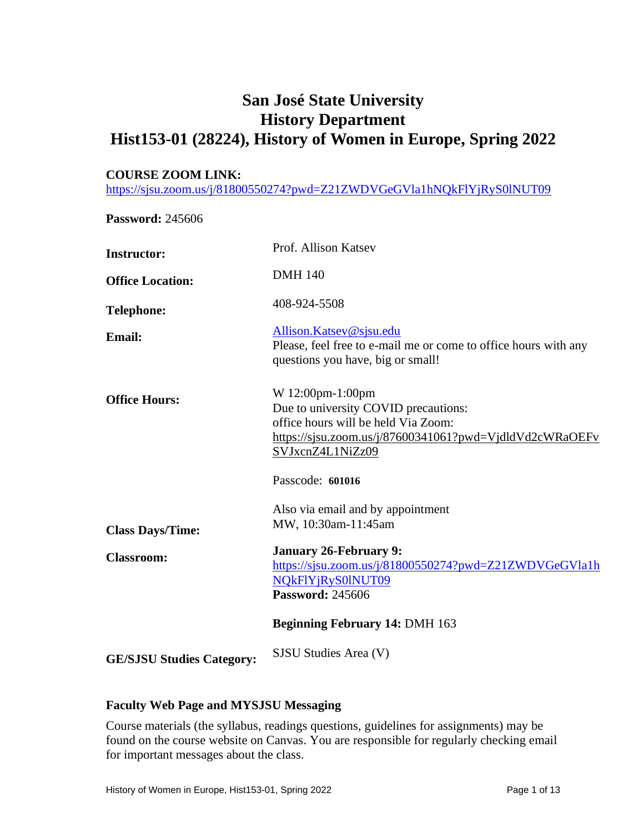# **San José State University History Department Hist153-01 (28224), History of Women in Europe, Spring 2022**

#### **COURSE ZOOM LINK:**

<https://sjsu.zoom.us/j/81800550274?pwd=Z21ZWDVGeGVla1hNQkFlYjRyS0lNUT09>

**Password:** 245606

| Please, feel free to e-mail me or come to office hours with any |
|-----------------------------------------------------------------|
| https://sjsu.zoom.us/j/87600341061?pwd=VjdldVd2cWRaOEFv         |
|                                                                 |
|                                                                 |
| https://sjsu.zoom.us/j/81800550274?pwd=Z21ZWDVGeGVla1h          |
|                                                                 |
|                                                                 |
|                                                                 |

## **Faculty Web Page and MYSJSU Messaging**

Course materials (the syllabus, readings questions, guidelines for assignments) may be found on the course website on Canvas. You are responsible for regularly checking email for important messages about the class.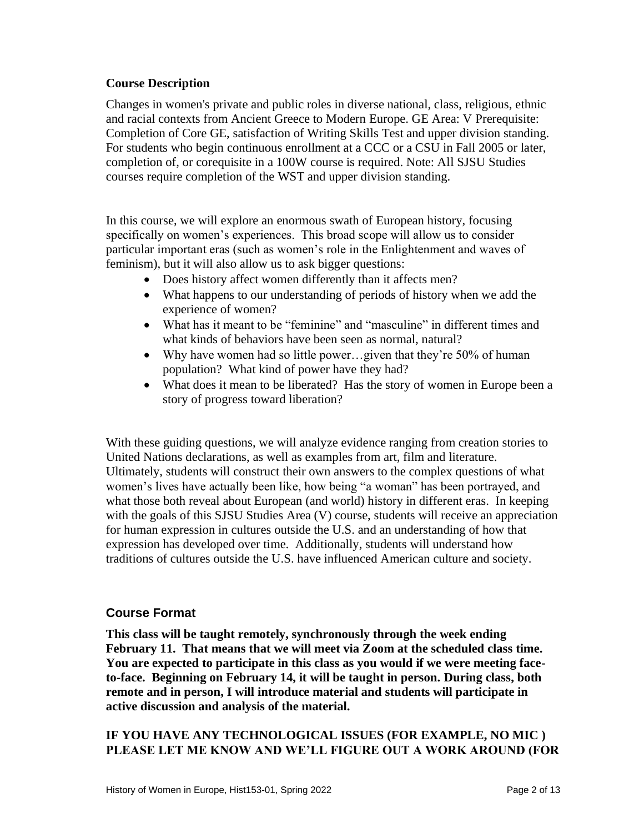# **Course Description**

Changes in women's private and public roles in diverse national, class, religious, ethnic and racial contexts from Ancient Greece to Modern Europe. GE Area: V Prerequisite: Completion of Core GE, satisfaction of Writing Skills Test and upper division standing. For students who begin continuous enrollment at a CCC or a CSU in Fall 2005 or later, completion of, or corequisite in a 100W course is required. Note: All SJSU Studies courses require completion of the WST and upper division standing.

In this course, we will explore an enormous swath of European history, focusing specifically on women's experiences. This broad scope will allow us to consider particular important eras (such as women's role in the Enlightenment and waves of feminism), but it will also allow us to ask bigger questions:

- Does history affect women differently than it affects men?
- What happens to our understanding of periods of history when we add the experience of women?
- What has it meant to be "feminine" and "masculine" in different times and what kinds of behaviors have been seen as normal, natural?
- Why have women had so little power...given that they're 50% of human population? What kind of power have they had?
- What does it mean to be liberated? Has the story of women in Europe been a story of progress toward liberation?

With these guiding questions, we will analyze evidence ranging from creation stories to United Nations declarations, as well as examples from art, film and literature. Ultimately, students will construct their own answers to the complex questions of what women's lives have actually been like, how being "a woman" has been portrayed, and what those both reveal about European (and world) history in different eras. In keeping with the goals of this SJSU Studies Area (V) course, students will receive an appreciation for human expression in cultures outside the U.S. and an understanding of how that expression has developed over time. Additionally, students will understand how traditions of cultures outside the U.S. have influenced American culture and society.

# **Course Format**

**This class will be taught remotely, synchronously through the week ending February 11. That means that we will meet via Zoom at the scheduled class time. You are expected to participate in this class as you would if we were meeting faceto-face. Beginning on February 14, it will be taught in person. During class, both remote and in person, I will introduce material and students will participate in active discussion and analysis of the material.**

# **IF YOU HAVE ANY TECHNOLOGICAL ISSUES (FOR EXAMPLE, NO MIC ) PLEASE LET ME KNOW AND WE'LL FIGURE OUT A WORK AROUND (FOR**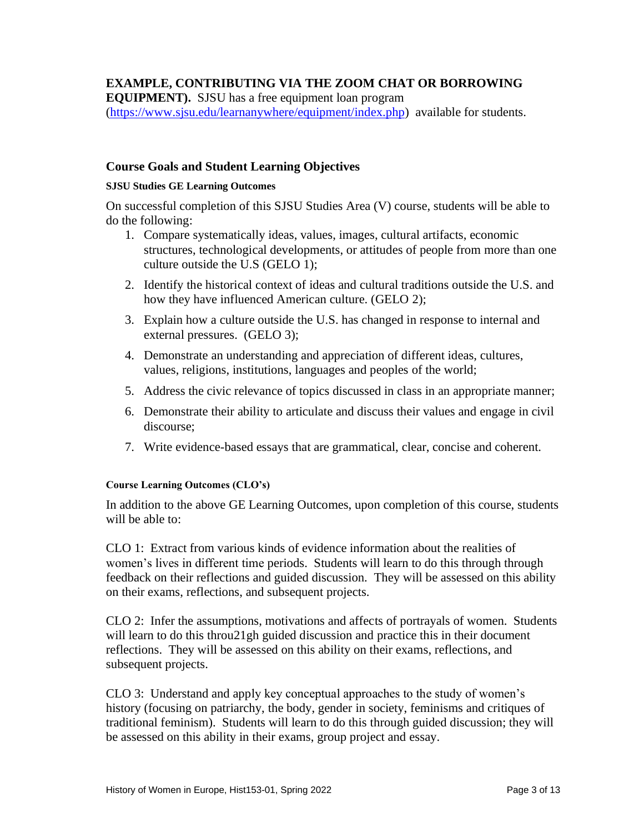# **EXAMPLE, CONTRIBUTING VIA THE ZOOM CHAT OR BORROWING**

**EQUIPMENT).** SJSU has a free equipment loan program

[\(https://www.sjsu.edu/learnanywhere/equipment/index.php\)](https://www.sjsu.edu/learnanywhere/equipment/index.php) available for students.

## **Course Goals and Student Learning Objectives**

#### **SJSU Studies GE Learning Outcomes**

On successful completion of this SJSU Studies Area (V) course, students will be able to do the following:

- 1. Compare systematically ideas, values, images, cultural artifacts, economic structures, technological developments, or attitudes of people from more than one culture outside the U.S (GELO 1);
- 2. Identify the historical context of ideas and cultural traditions outside the U.S. and how they have influenced American culture. (GELO 2);
- 3. Explain how a culture outside the U.S. has changed in response to internal and external pressures. (GELO 3);
- 4. Demonstrate an understanding and appreciation of different ideas, cultures, values, religions, institutions, languages and peoples of the world;
- 5. Address the civic relevance of topics discussed in class in an appropriate manner;
- 6. Demonstrate their ability to articulate and discuss their values and engage in civil discourse;
- 7. Write evidence-based essays that are grammatical, clear, concise and coherent.

#### **Course Learning Outcomes (CLO's)**

In addition to the above GE Learning Outcomes, upon completion of this course, students will be able to:

CLO 1: Extract from various kinds of evidence information about the realities of women's lives in different time periods. Students will learn to do this through through feedback on their reflections and guided discussion. They will be assessed on this ability on their exams, reflections, and subsequent projects.

CLO 2: Infer the assumptions, motivations and affects of portrayals of women. Students will learn to do this throu21gh guided discussion and practice this in their document reflections. They will be assessed on this ability on their exams, reflections, and subsequent projects.

CLO 3: Understand and apply key conceptual approaches to the study of women's history (focusing on patriarchy, the body, gender in society, feminisms and critiques of traditional feminism). Students will learn to do this through guided discussion; they will be assessed on this ability in their exams, group project and essay.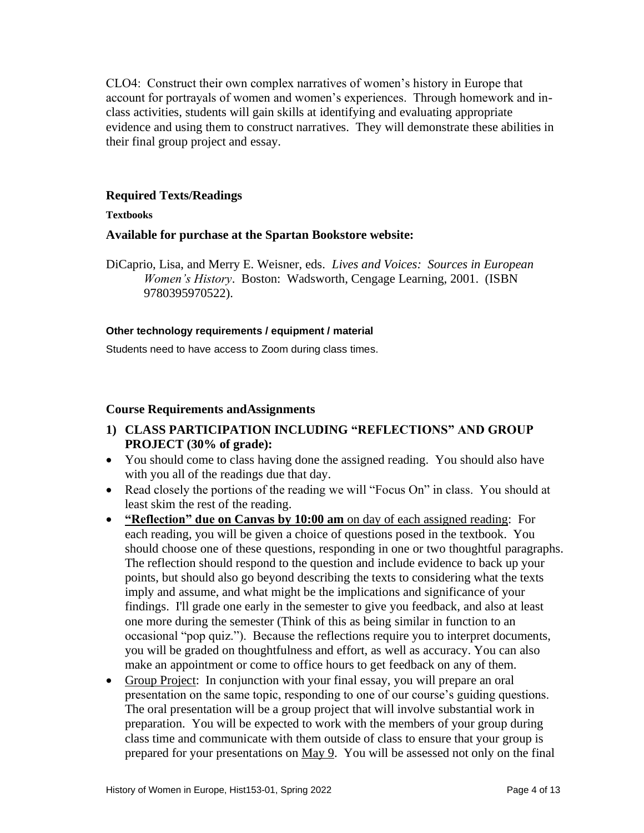CLO4: Construct their own complex narratives of women's history in Europe that account for portrayals of women and women's experiences. Through homework and inclass activities, students will gain skills at identifying and evaluating appropriate evidence and using them to construct narratives. They will demonstrate these abilities in their final group project and essay.

# **Required Texts/Readings**

### **Textbooks**

## **Available for purchase at the Spartan Bookstore website:**

DiCaprio, Lisa, and Merry E. Weisner, eds. *Lives and Voices: Sources in European Women's History*. Boston: Wadsworth, Cengage Learning, 2001. (ISBN 9780395970522).

### **Other technology requirements / equipment / material**

Students need to have access to Zoom during class times.

## **Course Requirements andAssignments**

- **1) CLASS PARTICIPATION INCLUDING "REFLECTIONS" AND GROUP PROJECT (30% of grade):**
- You should come to class having done the assigned reading. You should also have with you all of the readings due that day.
- Read closely the portions of the reading we will "Focus On" in class. You should at least skim the rest of the reading.
- **"Reflection" due on Canvas by 10:00 am** on day of each assigned reading: For each reading, you will be given a choice of questions posed in the textbook. You should choose one of these questions, responding in one or two thoughtful paragraphs. The reflection should respond to the question and include evidence to back up your points, but should also go beyond describing the texts to considering what the texts imply and assume, and what might be the implications and significance of your findings. I'll grade one early in the semester to give you feedback, and also at least one more during the semester (Think of this as being similar in function to an occasional "pop quiz."). Because the reflections require you to interpret documents, you will be graded on thoughtfulness and effort, as well as accuracy. You can also make an appointment or come to office hours to get feedback on any of them.
- Group Project: In conjunction with your final essay, you will prepare an oral presentation on the same topic, responding to one of our course's guiding questions. The oral presentation will be a group project that will involve substantial work in preparation. You will be expected to work with the members of your group during class time and communicate with them outside of class to ensure that your group is prepared for your presentations on May 9. You will be assessed not only on the final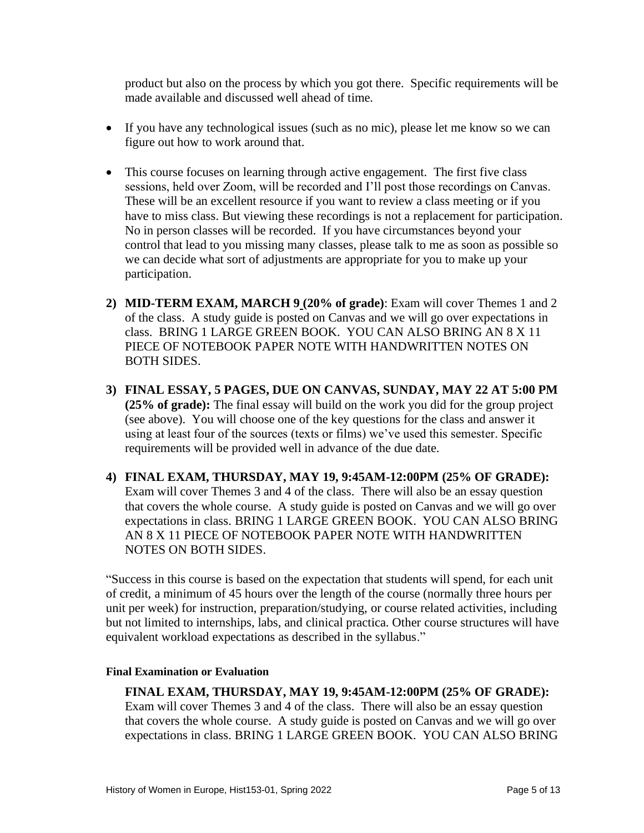product but also on the process by which you got there. Specific requirements will be made available and discussed well ahead of time.

- If you have any technological issues (such as no mic), please let me know so we can figure out how to work around that.
- This course focuses on learning through active engagement. The first five class sessions, held over Zoom, will be recorded and I'll post those recordings on Canvas. These will be an excellent resource if you want to review a class meeting or if you have to miss class. But viewing these recordings is not a replacement for participation. No in person classes will be recorded. If you have circumstances beyond your control that lead to you missing many classes, please talk to me as soon as possible so we can decide what sort of adjustments are appropriate for you to make up your participation.
- **2) MID-TERM EXAM, MARCH 9 (20% of grade)**: Exam will cover Themes 1 and 2 of the class.A study guide is posted on Canvas and we will go over expectations in class. BRING 1 LARGE GREEN BOOK. YOU CAN ALSO BRING AN 8 X 11 PIECE OF NOTEBOOK PAPER NOTE WITH HANDWRITTEN NOTES ON BOTH SIDES.
- **3) FINAL ESSAY, 5 PAGES, DUE ON CANVAS, SUNDAY, MAY 22 AT 5:00 PM (25% of grade):** The final essay will build on the work you did for the group project (see above). You will choose one of the key questions for the class and answer it using at least four of the sources (texts or films) we've used this semester. Specific requirements will be provided well in advance of the due date.
- **4) FINAL EXAM, THURSDAY, MAY 19, 9:45AM-12:00PM (25% OF GRADE):** Exam will cover Themes 3 and 4 of the class.There will also be an essay question that covers the whole course.A study guide is posted on Canvas and we will go over expectations in class. BRING 1 LARGE GREEN BOOK. YOU CAN ALSO BRING AN 8 X 11 PIECE OF NOTEBOOK PAPER NOTE WITH HANDWRITTEN NOTES ON BOTH SIDES.

"Success in this course is based on the expectation that students will spend, for each unit of credit, a minimum of 45 hours over the length of the course (normally three hours per unit per week) for instruction, preparation/studying, or course related activities, including but not limited to internships, labs, and clinical practica. Other course structures will have equivalent workload expectations as described in the syllabus."

#### **Final Examination or Evaluation**

## **FINAL EXAM, THURSDAY, MAY 19, 9:45AM-12:00PM (25% OF GRADE):** Exam will cover Themes 3 and 4 of the class.There will also be an essay question that covers the whole course.A study guide is posted on Canvas and we will go over expectations in class. BRING 1 LARGE GREEN BOOK. YOU CAN ALSO BRING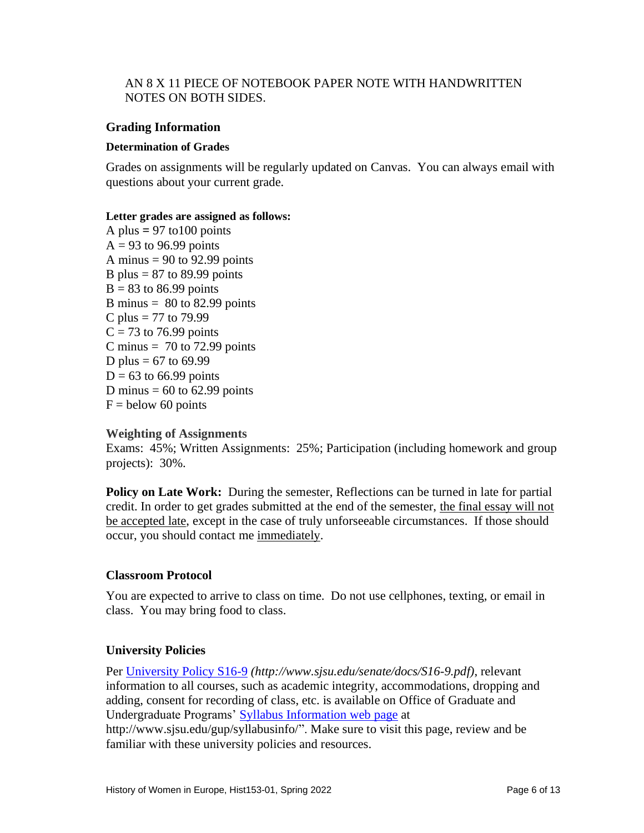## AN 8 X 11 PIECE OF NOTEBOOK PAPER NOTE WITH HANDWRITTEN NOTES ON BOTH SIDES.

## **Grading Information**

#### **Determination of Grades**

Grades on assignments will be regularly updated on Canvas. You can always email with questions about your current grade.

#### **Letter grades are assigned as follows:**

A plus  $= 97$  to 100 points  $A = 93$  to 96.99 points A minus  $= 90$  to 92.99 points B plus =  $87$  to  $89.99$  points  $B = 83$  to 86.99 points B minus  $= 80$  to 82.99 points C plus = 77 to 79.99  $C = 73$  to 76.99 points C minus  $= 70$  to 72.99 points D plus =  $67$  to  $69.99$  $D = 63$  to 66.99 points D minus  $= 60$  to 62.99 points  $F =$  below 60 points

#### **Weighting of Assignments**

Exams: 45%; Written Assignments: 25%; Participation (including homework and group projects): 30%.

**Policy on Late Work:** During the semester, Reflections can be turned in late for partial credit. In order to get grades submitted at the end of the semester, the final essay will not be accepted late, except in the case of truly unforseeable circumstances. If those should occur, you should contact me immediately.

#### **Classroom Protocol**

You are expected to arrive to class on time. Do not use cellphones, texting, or email in class. You may bring food to class.

#### **University Policies**

Per [University Policy S16-9](http://www.sjsu.edu/senate/docs/S16-9.pdf) *(http://www.sjsu.edu/senate/docs/S16-9.pdf)*, relevant information to all courses, such as academic integrity, accommodations, dropping and adding, consent for recording of class, etc. is available on Office of Graduate and Undergraduate Programs' [Syllabus Information](http://www.sjsu.edu/gup/syllabusinfo/) web page at http://www.sjsu.edu/gup/syllabusinfo/". Make sure to visit this page, review and be familiar with these university policies and resources.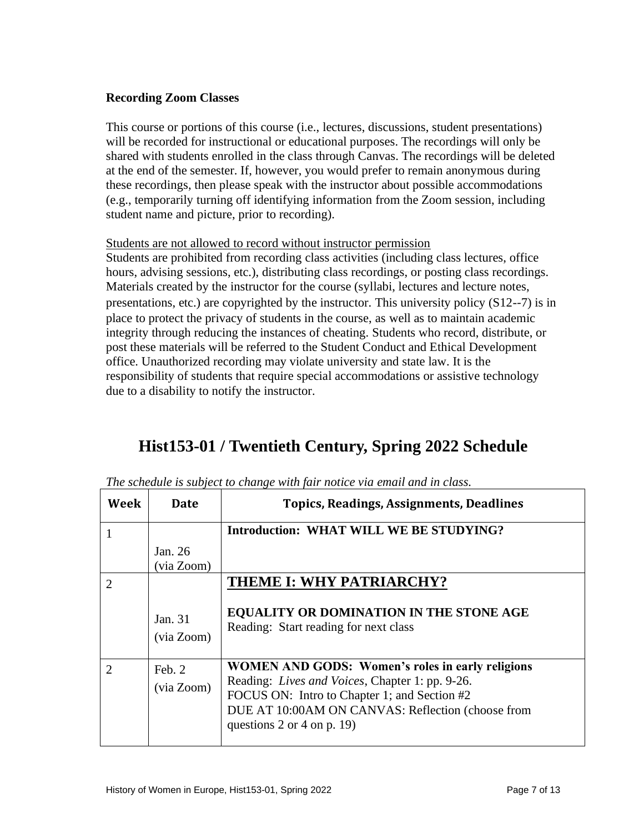# **Recording Zoom Classes**

This course or portions of this course (i.e., lectures, discussions, student presentations) will be recorded for instructional or educational purposes. The recordings will only be shared with students enrolled in the class through Canvas. The recordings will be deleted at the end of the semester. If, however, you would prefer to remain anonymous during these recordings, then please speak with the instructor about possible accommodations (e.g., temporarily turning off identifying information from the Zoom session, including student name and picture, prior to recording).

# Students are not allowed to record without instructor permission

Students are prohibited from recording class activities (including class lectures, office hours, advising sessions, etc.), distributing class recordings, or posting class recordings. Materials created by the instructor for the course (syllabi, lectures and lecture notes, presentations, etc.) are copyrighted by the instructor. This university policy  $(S12--7)$  is in place to protect the privacy of students in the course, as well as to maintain academic integrity through reducing the instances of cheating. Students who record, distribute, or post these materials will be referred to the Student Conduct and Ethical Development office. Unauthorized recording may violate university and state law. It is the responsibility of students that require special accommodations or assistive technology due to a disability to notify the instructor.

# **Hist153-01 / Twentieth Century, Spring 2022 Schedule**

| Week | Date                    | <b>Topics, Readings, Assignments, Deadlines</b>                                                                                                                                                                                                   |
|------|-------------------------|---------------------------------------------------------------------------------------------------------------------------------------------------------------------------------------------------------------------------------------------------|
|      |                         | Introduction: WHAT WILL WE BE STUDYING?                                                                                                                                                                                                           |
|      | Jan. $26$<br>(via Zoom) |                                                                                                                                                                                                                                                   |
| 2    | Jan. 31<br>(via Zoom)   | THEME I: WHY PATRIARCHY?<br><b>EQUALITY OR DOMINATION IN THE STONE AGE</b><br>Reading: Start reading for next class                                                                                                                               |
| 2    | Feb. 2<br>(via Zoom)    | <b>WOMEN AND GODS: Women's roles in early religions</b><br>Reading: Lives and Voices, Chapter 1: pp. 9-26.<br>FOCUS ON: Intro to Chapter 1; and Section #2<br>DUE AT 10:00AM ON CANVAS: Reflection (choose from<br>questions $2$ or $4$ on p. 19) |

*The schedule is subject to change with fair notice via email and in class.*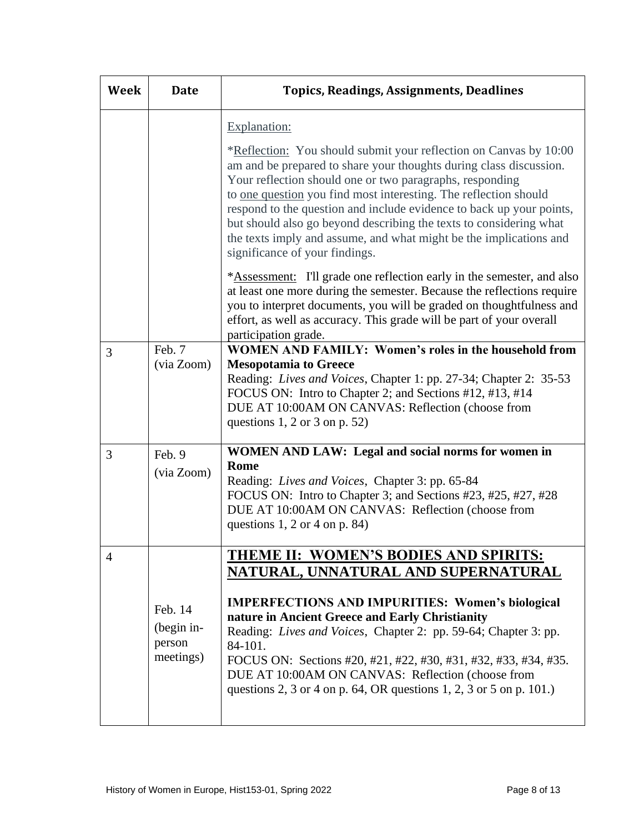| Week | <b>Date</b>                                  | <b>Topics, Readings, Assignments, Deadlines</b>                                                                                                                                                                                                                                                                                                                                                                                                                                                                                      |
|------|----------------------------------------------|--------------------------------------------------------------------------------------------------------------------------------------------------------------------------------------------------------------------------------------------------------------------------------------------------------------------------------------------------------------------------------------------------------------------------------------------------------------------------------------------------------------------------------------|
|      |                                              | Explanation:                                                                                                                                                                                                                                                                                                                                                                                                                                                                                                                         |
|      |                                              | *Reflection: You should submit your reflection on Canvas by 10:00<br>am and be prepared to share your thoughts during class discussion.<br>Your reflection should one or two paragraphs, responding<br>to <u>one question</u> you find most interesting. The reflection should<br>respond to the question and include evidence to back up your points,<br>but should also go beyond describing the texts to considering what<br>the texts imply and assume, and what might be the implications and<br>significance of your findings. |
|      |                                              | *Assessment: I'll grade one reflection early in the semester, and also<br>at least one more during the semester. Because the reflections require<br>you to interpret documents, you will be graded on thoughtfulness and<br>effort, as well as accuracy. This grade will be part of your overall<br>participation grade.                                                                                                                                                                                                             |
| 3    | Feb. 7<br>(via Zoom)                         | <b>WOMEN AND FAMILY: Women's roles in the household from</b><br><b>Mesopotamia to Greece</b><br>Reading: Lives and Voices, Chapter 1: pp. 27-34; Chapter 2: 35-53<br>FOCUS ON: Intro to Chapter 2; and Sections #12, #13, #14<br>DUE AT 10:00AM ON CANVAS: Reflection (choose from<br>questions 1, 2 or 3 on p. 52)                                                                                                                                                                                                                  |
| 3    | Feb. 9<br>(via Zoom)                         | WOMEN AND LAW: Legal and social norms for women in<br>Rome<br>Reading: Lives and Voices, Chapter 3: pp. 65-84<br>FOCUS ON: Intro to Chapter 3; and Sections #23, #25, #27, #28<br>DUE AT 10:00AM ON CANVAS: Reflection (choose from<br>questions $1, 2$ or $4$ on p. 84)                                                                                                                                                                                                                                                             |
| 4    | Feb. 14<br>(begin in-<br>person<br>meetings) | <b>THEME II: WOMEN'S BODIES AND SPIRITS:</b><br>NATURAL, UNNATURAL AND SUPERNATURAL<br><b>IMPERFECTIONS AND IMPURITIES: Women's biological</b><br>nature in Ancient Greece and Early Christianity                                                                                                                                                                                                                                                                                                                                    |
|      |                                              | Reading: Lives and Voices, Chapter 2: pp. 59-64; Chapter 3: pp.<br>84-101.<br>FOCUS ON: Sections #20, #21, #22, #30, #31, #32, #33, #34, #35.<br>DUE AT 10:00AM ON CANVAS: Reflection (choose from<br>questions 2, 3 or 4 on p. 64, OR questions 1, 2, 3 or 5 on p. 101.)                                                                                                                                                                                                                                                            |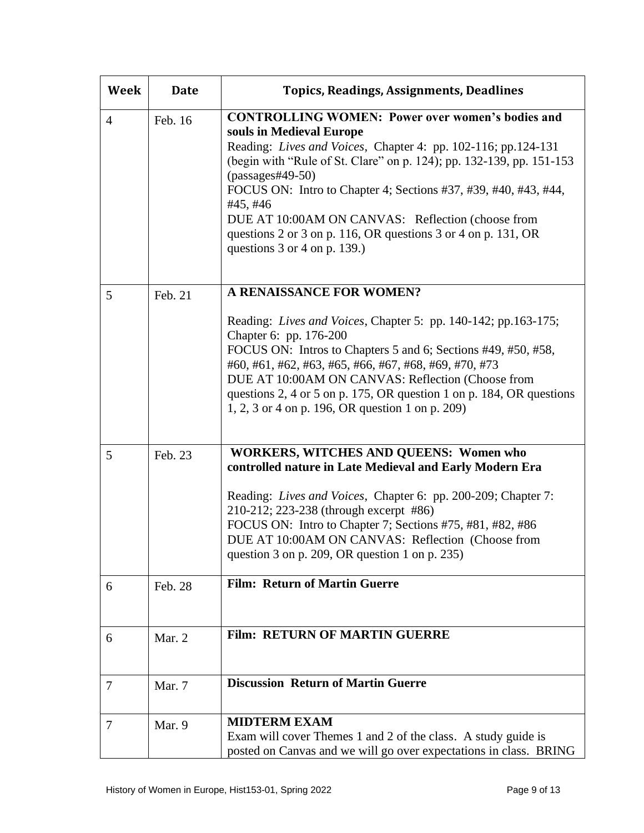| Week           | <b>Date</b> | <b>Topics, Readings, Assignments, Deadlines</b>                                                                                                                                                                                                                                                                                                                                                                                                                                               |
|----------------|-------------|-----------------------------------------------------------------------------------------------------------------------------------------------------------------------------------------------------------------------------------------------------------------------------------------------------------------------------------------------------------------------------------------------------------------------------------------------------------------------------------------------|
| $\overline{4}$ | Feb. 16     | <b>CONTROLLING WOMEN: Power over women's bodies and</b><br>souls in Medieval Europe<br>Reading: Lives and Voices, Chapter 4: pp. 102-116; pp.124-131<br>(begin with "Rule of St. Clare" on p. 124); pp. 132-139, pp. 151-153<br>$(passages \#49-50)$<br>FOCUS ON: Intro to Chapter 4; Sections #37, #39, #40, #43, #44,<br>#45, #46<br>DUE AT 10:00AM ON CANVAS: Reflection (choose from<br>questions 2 or 3 on p. 116, OR questions 3 or 4 on p. 131, OR<br>questions $3$ or $4$ on p. 139.) |
| 5              | Feb. 21     | A RENAISSANCE FOR WOMEN?<br>Reading: Lives and Voices, Chapter 5: pp. 140-142; pp.163-175;<br>Chapter 6: pp. 176-200<br>FOCUS ON: Intros to Chapters 5 and 6; Sections #49, #50, #58,<br>#60, #61, #62, #63, #65, #66, #67, #68, #69, #70, #73<br>DUE AT 10:00AM ON CANVAS: Reflection (Choose from<br>questions 2, 4 or 5 on p. 175, OR question 1 on p. 184, OR questions<br>1, 2, 3 or 4 on p. 196, OR question 1 on p. 209)                                                               |
| 5              | Feb. 23     | <b>WORKERS, WITCHES AND QUEENS: Women who</b><br>controlled nature in Late Medieval and Early Modern Era<br>Reading: Lives and Voices, Chapter 6: pp. 200-209; Chapter 7:<br>210-212; 223-238 (through excerpt #86)<br>FOCUS ON: Intro to Chapter 7; Sections #75, #81, #82, #86<br>DUE AT 10:00AM ON CANVAS: Reflection (Choose from<br>question 3 on p. 209, OR question 1 on p. 235)                                                                                                       |
| 6              | Feb. 28     | <b>Film: Return of Martin Guerre</b>                                                                                                                                                                                                                                                                                                                                                                                                                                                          |
| 6              | Mar. 2      | <b>Film: RETURN OF MARTIN GUERRE</b>                                                                                                                                                                                                                                                                                                                                                                                                                                                          |
| 7              | Mar. 7      | <b>Discussion Return of Martin Guerre</b>                                                                                                                                                                                                                                                                                                                                                                                                                                                     |
| 7              | Mar. 9      | <b>MIDTERM EXAM</b><br>Exam will cover Themes 1 and 2 of the class. A study guide is<br>posted on Canvas and we will go over expectations in class. BRING                                                                                                                                                                                                                                                                                                                                     |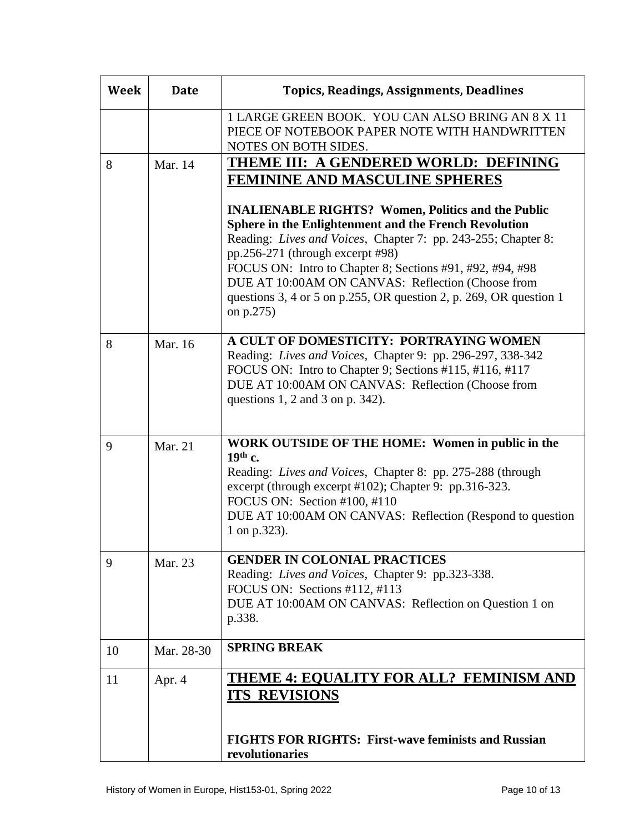| Week | <b>Date</b> | <b>Topics, Readings, Assignments, Deadlines</b>                                                                                                                                                                                                                                                                                                                                                                                     |
|------|-------------|-------------------------------------------------------------------------------------------------------------------------------------------------------------------------------------------------------------------------------------------------------------------------------------------------------------------------------------------------------------------------------------------------------------------------------------|
|      |             | 1 LARGE GREEN BOOK. YOU CAN ALSO BRING AN 8 X 11<br>PIECE OF NOTEBOOK PAPER NOTE WITH HANDWRITTEN<br>NOTES ON BOTH SIDES.                                                                                                                                                                                                                                                                                                           |
| 8    | Mar. 14     | <b>THEME III: A GENDERED WORLD: DEFINING</b><br><b>FEMININE AND MASCULINE SPHERES</b>                                                                                                                                                                                                                                                                                                                                               |
|      |             | <b>INALIENABLE RIGHTS? Women, Politics and the Public</b><br><b>Sphere in the Enlightenment and the French Revolution</b><br>Reading: Lives and Voices, Chapter 7: pp. 243-255; Chapter 8:<br>pp.256-271 (through excerpt #98)<br>FOCUS ON: Intro to Chapter 8; Sections #91, #92, #94, #98<br>DUE AT 10:00AM ON CANVAS: Reflection (Choose from<br>questions 3, 4 or 5 on p.255, OR question 2, p. 269, OR question 1<br>on p.275) |
| 8    | Mar. 16     | A CULT OF DOMESTICITY: PORTRAYING WOMEN<br>Reading: Lives and Voices, Chapter 9: pp. 296-297, 338-342<br>FOCUS ON: Intro to Chapter 9; Sections #115, #116, #117<br>DUE AT 10:00AM ON CANVAS: Reflection (Choose from<br>questions 1, 2 and 3 on p. $342$ ).                                                                                                                                                                        |
| 9    | Mar. 21     | WORK OUTSIDE OF THE HOME: Women in public in the<br>$19th$ c.<br>Reading: Lives and Voices, Chapter 8: pp. 275-288 (through<br>excerpt (through excerpt #102); Chapter 9: pp.316-323.<br>FOCUS ON: Section #100, #110<br>DUE AT 10:00AM ON CANVAS: Reflection (Respond to question<br>1 on p.323).                                                                                                                                  |
| 9    | Mar. 23     | <b>GENDER IN COLONIAL PRACTICES</b><br>Reading: Lives and Voices, Chapter 9: pp.323-338.<br>FOCUS ON: Sections #112, #113<br>DUE AT 10:00AM ON CANVAS: Reflection on Question 1 on<br>p.338.                                                                                                                                                                                                                                        |
| 10   | Mar. 28-30  | <b>SPRING BREAK</b>                                                                                                                                                                                                                                                                                                                                                                                                                 |
| 11   | Apr. 4      | THEME 4: EQUALITY FOR ALL? FEMINISM AND<br><b>ITS REVISIONS</b>                                                                                                                                                                                                                                                                                                                                                                     |
|      |             | <b>FIGHTS FOR RIGHTS: First-wave feminists and Russian</b><br>revolutionaries                                                                                                                                                                                                                                                                                                                                                       |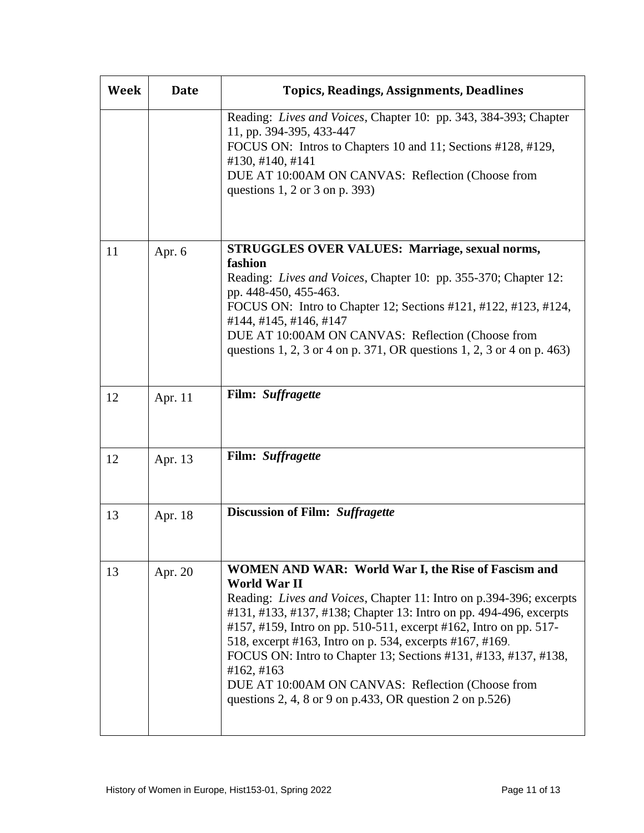| Week | <b>Date</b> | <b>Topics, Readings, Assignments, Deadlines</b>                                                                                                                                                                                                                                                                                                                                                                                                                                                                                                            |
|------|-------------|------------------------------------------------------------------------------------------------------------------------------------------------------------------------------------------------------------------------------------------------------------------------------------------------------------------------------------------------------------------------------------------------------------------------------------------------------------------------------------------------------------------------------------------------------------|
|      |             | Reading: Lives and Voices, Chapter 10: pp. 343, 384-393; Chapter<br>11, pp. 394-395, 433-447<br>FOCUS ON: Intros to Chapters 10 and 11; Sections #128, #129,<br>#130, #140, #141<br>DUE AT 10:00AM ON CANVAS: Reflection (Choose from<br>questions $1, 2$ or $3$ on p. 393)                                                                                                                                                                                                                                                                                |
| 11   | Apr. 6      | <b>STRUGGLES OVER VALUES: Marriage, sexual norms,</b><br>fashion<br>Reading: Lives and Voices, Chapter 10: pp. 355-370; Chapter 12:<br>pp. 448-450, 455-463.<br>FOCUS ON: Intro to Chapter 12; Sections #121, #122, #123, #124,<br>#144, #145, #146, #147<br>DUE AT 10:00AM ON CANVAS: Reflection (Choose from<br>questions 1, 2, 3 or 4 on p. 371, OR questions 1, 2, 3 or 4 on p. 463)                                                                                                                                                                   |
| 12   | Apr. 11     | Film: Suffragette                                                                                                                                                                                                                                                                                                                                                                                                                                                                                                                                          |
| 12   | Apr. 13     | Film: Suffragette                                                                                                                                                                                                                                                                                                                                                                                                                                                                                                                                          |
| 13   | Apr. 18     | Discussion of Film: Suffragette                                                                                                                                                                                                                                                                                                                                                                                                                                                                                                                            |
| 13   | Apr. 20     | WOMEN AND WAR: World War I, the Rise of Fascism and<br><b>World War II</b><br>Reading: Lives and Voices, Chapter 11: Intro on p.394-396; excerpts<br>#131, #133, #137, #138; Chapter 13: Intro on pp. 494-496, excerpts<br>#157, #159, Intro on pp. 510-511, excerpt #162, Intro on pp. 517-<br>518, excerpt #163, Intro on p. 534, excerpts #167, #169.<br>FOCUS ON: Intro to Chapter 13; Sections #131, #133, #137, #138,<br>#162, #163<br>DUE AT 10:00AM ON CANVAS: Reflection (Choose from<br>questions 2, 4, 8 or 9 on p.433, OR question 2 on p.526) |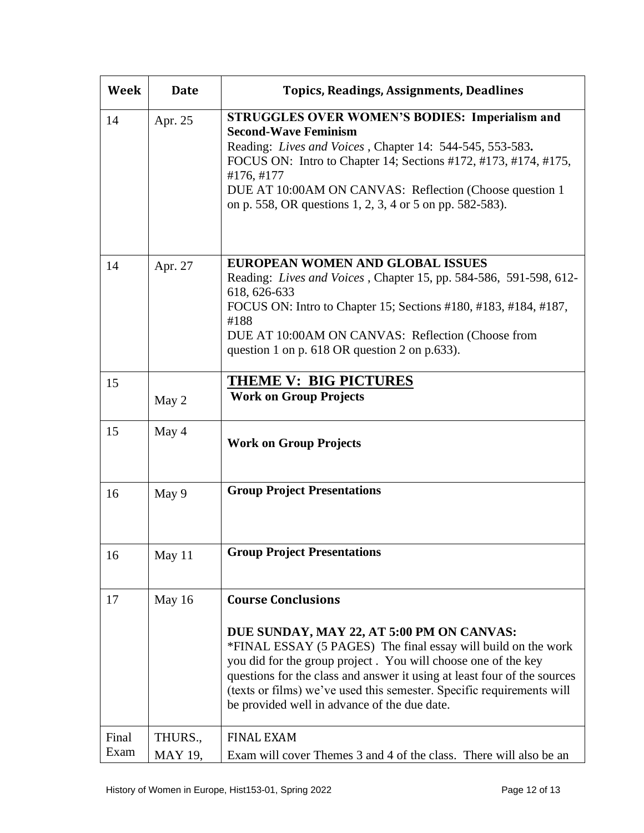| Week          | <b>Date</b>               | <b>Topics, Readings, Assignments, Deadlines</b>                                                                                                                                                                                                                                                                                                                                                               |
|---------------|---------------------------|---------------------------------------------------------------------------------------------------------------------------------------------------------------------------------------------------------------------------------------------------------------------------------------------------------------------------------------------------------------------------------------------------------------|
| 14            | Apr. 25                   | <b>STRUGGLES OVER WOMEN'S BODIES: Imperialism and</b><br><b>Second-Wave Feminism</b><br>Reading: Lives and Voices, Chapter 14: 544-545, 553-583.<br>FOCUS ON: Intro to Chapter 14; Sections #172, #173, #174, #175,<br>#176, #177<br>DUE AT 10:00AM ON CANVAS: Reflection (Choose question 1)<br>on p. 558, OR questions 1, 2, 3, 4 or 5 on pp. 582-583).                                                     |
| 14            | Apr. 27                   | EUROPEAN WOMEN AND GLOBAL ISSUES<br>Reading: <i>Lives and Voices</i> , Chapter 15, pp. 584-586, 591-598, 612-<br>618, 626-633<br>FOCUS ON: Intro to Chapter 15; Sections #180, #183, #184, #187,<br>#188<br>DUE AT 10:00AM ON CANVAS: Reflection (Choose from<br>question 1 on p. $618$ OR question 2 on p.633).                                                                                              |
| 15            | May 2                     | <b>THEME V: BIG PICTURES</b><br><b>Work on Group Projects</b>                                                                                                                                                                                                                                                                                                                                                 |
| 15            | May 4                     | <b>Work on Group Projects</b>                                                                                                                                                                                                                                                                                                                                                                                 |
| 16            | May 9                     | <b>Group Project Presentations</b>                                                                                                                                                                                                                                                                                                                                                                            |
| 16            | May 11                    | <b>Group Project Presentations</b>                                                                                                                                                                                                                                                                                                                                                                            |
| 17            | May 16                    | <b>Course Conclusions</b><br>DUE SUNDAY, MAY 22, AT 5:00 PM ON CANVAS:<br>*FINAL ESSAY (5 PAGES) The final essay will build on the work<br>you did for the group project. You will choose one of the key<br>questions for the class and answer it using at least four of the sources<br>(texts or films) we've used this semester. Specific requirements will<br>be provided well in advance of the due date. |
| Final<br>Exam | THURS.,<br><b>MAY 19,</b> | <b>FINAL EXAM</b><br>Exam will cover Themes 3 and 4 of the class. There will also be an                                                                                                                                                                                                                                                                                                                       |